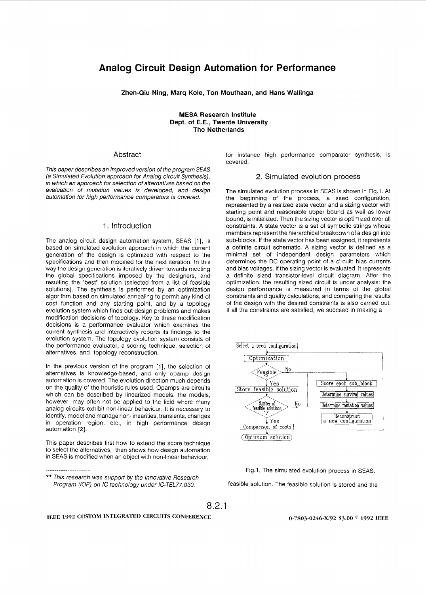# **Analog Circuit Design Automation for Performance**

**Zhen-Qiu Ning, Marq Kole, Ton Mouthaan, and Hans Wallinga** 

#### **MESA Research Institute Dept. of E.E., Twente University The Netherlands**

## Abstract

*This paper describes an improved version of the program SEAS (a Simulated Evolution approach for Analog circuit Synthesis), in which an approach for selection of alternatives based on the evaluation of mutation values is developed, and design automafion for high performance comparators is covered.* 

# 1. Introduction

The analog circuit design automation system, SEAS [1], is based on simulated evolution approach in which the current generation of the design is optimized with respect to the specifications and then modified for the next iteration. In this way the design generation is iteratively driven towards meeting the global specifications imposed by the designers, and resulting the "best" solution (selected from a list of feasible solutions). The synthesis is performed by an optimization algorithm based on simulated annealing to permit any kind of cost function and any starting point, and by a topology evolution system which finds out design problems and makes modification decisions of topology. Key to these modification decisions is a performance evaluator which examines the current synthesis and interactively reports its findings to the evolution system. The topology evolution system consists of the performance evaluator, a scoring technique, selection of alternatives, and topology reconstruction.

In the previous version of the program [1], the selection of alternatives is knowledge-based, and only opamp design automation is covered. The evolution direction much depends on the quality of the heuristic rules used. Opamps are circuits which can be described by linearized models. the models, however, may often not be applied to the field where many analog circuits exhibit non-linear behaviour. It is necessary to identify, model and manage non-linearities, transients, changes in operation region, etc., in high performance design automation [2].

This paper describes first how to extend the score technique to select the alternatives, then shows how design automation in SEAS is modified when an object with non-linear behaviour,

\*\* *This research was support by the Innovative Research Program (IOP) on IC-technology under IC-TEL77.030.* 

for instance high performance comparator synthesis, is covered.

### 2. Simulated evolution process

The simulated evolution process in SEAS is shown in Fig.1. At the beginning of the process, a seed configuration, represented by a realized state vector and a sizing vector with starting point and reasonable upper bound as well as lower bound, is initialized. Then the sizing vector is optimized over all constraints. A state vector is a set of symbolic strings whose members represent the hierarchical breakdown of a design into sub-blocks. If the state vector has been assigned, it represents a definite circuit schematic. A sizing vector is defined as a minimal set of independent design parameters which determines the DC operating point of a circuit: bias currents and bias voltages. If the sizing vector is evaluated, it represents a definite sized transistor-level circuit diagram. After the optimization, the resulting sized circuit is under analysis: the design performance is measured in terms of the global constraints and quality calculations, and comparing the results of the design with the desired constraints is also carried out. If all the constraints are satisfied, we succeed in making a



Fig.1, The simulated evolution process in SEAS.

feasible solution. The feasible solution is stored and the

8.2.1

**IEEE** *1992* **CUSTOM INTEGRATED CIRCUITS CONFERENCE** *0-7803-0246-XI92 \$3.00 0 1992* **IEEE**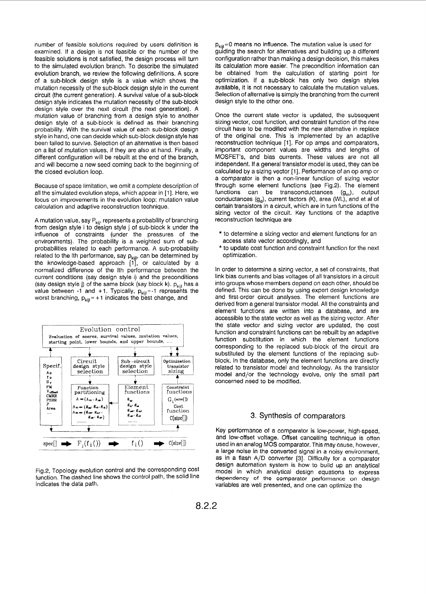number of feasible solutions required by users definition is examined. If a design is not feasible or the number of the feasible solutions is not satisfied, the design process will turn to the simulated evolution branch. To describe the simulated evolution branch, we review the following definitions. A score of a sub-block design style is a value which shows the mutation necessity of the sub-block design style in the current circuit (the current generation). A survival value of a sub-block design style indicates the mutation necessity of the sub-block design style over the next circuit (the next generation). A mutation value of branching from a design style to another design style of a sub-block is defined as their branching probability. With the survival value of each sub-block design style in hand, one can decide which sub-block design style has been failed to survive. Selection of an alternative is then based on a list of mutation values, if they are also at hand. Finally, a different configuration will be rebuilt at the end of the branch, and will become a new seed coming back to the beginning of the closed evolution loop.

Because of space limitation, we omit a complete description of all the simulated evolution steps, which appear in [I]. Here, we focus on improvements in the evolution loop: mutation value calculation and adaptive reconstruction technique.

A mutation value, say  $P_{kij}$ , represents a probability of branching from design style i to design style j of sub-block k under the influence of constraints (under the pressures of the environments). The probability is a weighted sum of subprobabilities related to each performance. A sub-probability related to the Ith performance, say  $p_{kijl}$ , can be determined by the knowledge-based approach  $\begin{bmatrix} 1 \end{bmatrix}$ , or calculated by a normalized difference of the lth performance between the current conditions (say design style i) and the preconditions (say design style j) of the same block (say block k).  $p_{\text{k}ii}$  has a value between -1 and +1. Typically,  $p_{\text{kiii}} = -1$  represents the worst branching,  $p_{kijl}$  = +1 indicates the best change, and



Fig.2, Topology evolution control and the corresponding cost function. The dashed line shows the control path, the solid line indicates the data path.

 $p_{kii}=0$  means no influence. The mutation value is used for guiding the search for alternatives and building up a different configuration rather than making a design decision, this makes its calculation more easier. The precondition information can be obtained from the calculation of starting point for optimization. If a sub-block has only two design styles available, it is not necessary to calculate the mutation values. Selection of alternative is simply the branching from the current design style to the other one.

Once the current state vector is updated, the subsequent sizing vector, cost function, and constraint function of the new circuit have to be modified with the new alternative in replace of the original one. This is implemented by an adaptive reconstruction technique [1]. For op amps and comparators, important component values are widths and lengths of MOSFET's, and bias currents. These values are not all independent. If a general transistor model is used, they can be calculated by a sizing vector [I]. Performance of an op amp or a comparator is then a non-linear function of sizing vector through some element functions (see Fig.2). The element functions can be transconductances  $(g_m)$ , output functions can be transconductances  $(g_m)$ , output conductances  $(g_d)$ , current factors  $(K)$ , area  $(WL)$ , and et al of certain transistors in a circuit, which are in turn functions of the sizing vector of the circuit. Key functions of the adaptive reconstruction technique are

- \* to determine a sizing vector and element functions for an access state vector accordingly, and
- \* to update cost function and constraint function for the next optimization.

In order to determine a sizing vector, a set of constraints, that link bias currents and bias voltages of all transistors in a circuit into groups whose members depend on each other, should be defined. This can be done by using expert design knowledge and first-order circuit analyses. The element functions are derived from a general transistor model. All the constraints and element functions are written into a database, and are accessible to the state vector as well as the sizing vector. After the state vector and sizing vector are updated, the cost function and constraint functions can be rebuilt by an adaptive function substitution in which the element functions corresponding to the replaced sub-block of the circuit are substituted by the element functions of the replacing subblock. In the database, only the element functions are directly related to transistor model and technology. As the transistor model and/or the technology evolve, only the small part concerned need to be modified.

## **3.** Synthesis of comparators

Key performance of a comparator is low-power, high-speed, and low-offset voltage. Offset cancelling technique is often used in an analog MOS comparator. This may cause, however, a large noise in the converted signal in a noisy environment, as in a flash A/D converter **[3].** Difficulty for a comparator design autornation system is how to build up an analytical model in which analytical design equations to express **dependency** of **the comparator** performance **on** design variables are well presented, and one can optimize the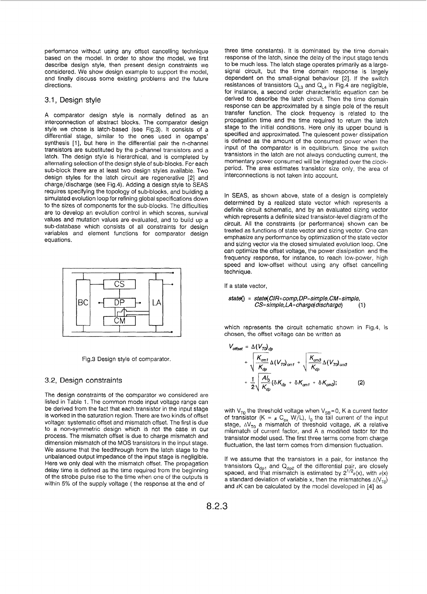performance without using any offset cancelling technique based on the model. In order to show the model, we first describe design style, then present design constraints we considered. We show design example to support the model, and finally discuss some existing problems and the future directions.

## 3.1, Design style

A comparator design style is normally defined as an interconnection of abstract blocks. The comparator design style we chose is latch-based (see Fig.3). It consists of a differential stage, similar to the ones used in opamps' synthesis [1], but here in the differential pair the n-channel transistors are substituted by the p-channel transistors and a latch. The design style is hierarchical, and is completed by alternating selection of the design style of sub-blocks. For each sub-block there are at least two design styles available. Two design styles for the latch circuit are regenerative [2] and charge/discharge (see Fig.4). Adding a design style to SEAS requires specifying the topology of sub-blocks, and building a simulated evolution loop for refining global specifications down to the sizes of components for the sub-blocks. The difficulties are to develop an evolution control in which scores, survival values and mutation values are evaluated, and to build up a sub-database which consists of all constraints for design variables and element functions for comparator design equations.



Fig.3 Design style of comparator.

# **3.2,** Design constraints

The design constraints of the comparator we considered are listed in Table 1. The common mode input voltage range can be derived from the fact that each transistor in the input stage is worked in the saturation region. There are two kinds of offset voltage: systematic offset and mismatch offset. The first is due to a non-symmetric design which is not the case in our process. The mismatch offset is due to charge mismatch and dimension mismatch of the MOS transistors in the input stage. We assume that the feedthrough from the latch stage to the unbalanced output impedance of the input stage is negligible. Here we only deal with the mismatch offset. The propagation delay time is defined as the time required from the beginning of the strobe pulse rise to the time when one of the outputs is within *5%* of the supply voltage (the response at the end of

three time constants). It is dominated by the time domain response of the latch, since the delay of the input stage tends to be much less. The latch stage operates primarily as a largesignal circuit, but the time domain response is largely dependent on the small-signal behaviour [2]. If the switch resistances of transistors  $Q_{1,3}$  and  $Q_{1,4}$  in Fig.4 are negligible, for instance, a second order characteristic equation can be derived to describe the latch circuit. Then the time domain response can be approximated by a single pole of the result transfer function. The clock frequency is related to the propagation time and the time required to return the latch stage to the initial conditions. Here only its upper bound is specified and approximated. The quiescent power dissipation is defined as the amount of the consumed power when the input of the comparator is in equilibrium. Since the switch transistors in the latch are not always conducting current, the momentary power consumed will be integrated over the clockperiod. The area estimates transistor size only, the area of interconnections is not taken into account.

In SEAS, as shown above, state of a design is completely determined by a realized state vector which represents a definite circuit schematic, and by an evaluated sizing vector which represents a definite sized transistor-level diagram of the circuit. All the constraints (or performance) shown can be treated as functions of state vector and sizing vector. One can emphasize any performance by optimization of the state vector and sizing vector via the closed simulated evolution loop. One can optimize the offset voltage, the power dissipation and the frequency response, for instance, to reach low-power, high speed and low-offset without using any offset cancelling technique.

If a state vector,

*state0* = *state(CIR= wmp, DP=simple, CM=simple, CS=simple,L4=chargeldischarge)* (1)

which represents the circuit schematic shown in Fig.4, is chosen, the offset voltage can be written as

$$
V_{\text{offset}} = \Delta (V_{\text{TO}})_{dp}
$$
  
+  $\sqrt{\frac{K_{\text{cm1}}}{K_{dp}} \Delta (V_{\text{TO}})_{\text{cm1}} + \sqrt{\frac{K_{\text{cm3}}}{K_{dp}} \Delta (V_{\text{TO}})_{\text{cm3}}}$   
+  $\frac{1}{2} \sqrt{\frac{A_{0}^{I}}{K_{dp}}} (\delta K_{dp} + \delta K_{\text{cm1}} + \delta K_{\text{cm2}});$  (2)

with  $V_{T0}$  the threshold voltage when  $V_{SB}=0$ , K a current factor of transistor (K =  $\mu$  C<sub>ox</sub> W/L), I<sub>n</sub> the tail current of the input stage,  $\Delta V_{\tau_0}$  a mismatch of threshold voltage, sK a relative mismatch of current factor, and A a modified factor for the transistor model used. The first three terms come from charge fluctuation, the last term comes from dimension fluctuation.

If we assume that the transistors in a pair, for instance the transistors  $Q_{dof}$  and  $Q_{dof}$  of the differential pair, are closely spaced, and that mismatch is estimated by 2<sup>1/2</sup> $\sigma$ (x), with  $\sigma$ (x) a standard deviation of variable x, then the mismatches  $\Delta(V_{T0})$ and  $sK$  can be calculated by the model developed in  $[4]$  as

8.2.3